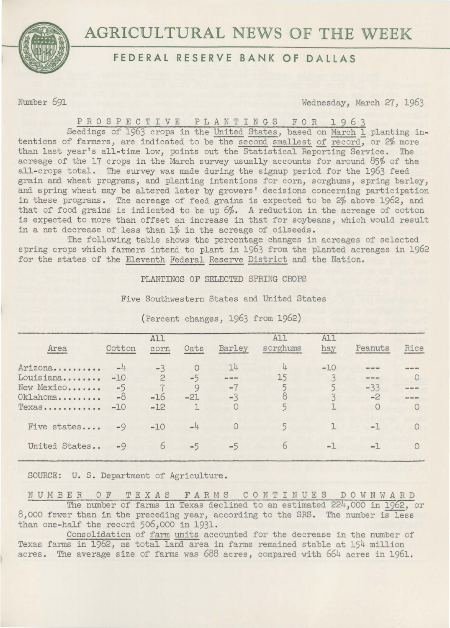



## **FEDERAL RESERVE BANK OF DALLAS**

Number 691 Wednesday, March 27, 1963

## P R O S P E C T I V E P L A N T I N G S F O R 1 9 6 3

Seedings of 1963 crops in the United States, based on March 1 planting intentions of farmers, are indicated to be the second smallest of record, or 2% more than last year's all-time low, points out the Statistical Reporting Service. The acreage of the 17 crops in the March survey usually accounts for around 85% of the all-crops total. The survey was made during the signup period for the 1963 feed grain and wheat programs, and planting intentions for corn, sorghums, spring barley, and spring wheat may be altered later by growers' decisions concerning participation in these programs. The acreage of feed grains is expected to be 2% above 1962, and that of food grains is indicated to be up 6%. A reduction in the acreage of cotton is expected to more than offset an increase in that for soybeans, which would result in a net decrease of less than 1% in the acreage of oilseeds.

The following table shows the percentage changes in acreages of selected spring crops which farmers intend to plant in 1963 from the planted acreages in 1962 for the states of the Eleventh Federal Reserve District and the Nation.

PLANTINGS OF SELECTED SPRING CROPS

Five Southwestern States and United States

| Cotton                                              | A11<br>corn    | Oats            | Barley                       | All<br>sorghums | A11<br>hay | Peanuts         | Rice                   |
|-----------------------------------------------------|----------------|-----------------|------------------------------|-----------------|------------|-----------------|------------------------|
| Arizona<br>$-4$<br>Louisiana<br>$-10$<br>New Mexico | $-3$<br>2      | $\circ$<br>$-5$ | 14<br><b>Base: Mark 9044</b> | 4<br>15         | $-10$      | ---             | <b>Breat Green AND</b> |
| $-8$<br>Oklahoma<br>$-10$                           | $-16$<br>$-12$ | $-21$<br>٦      | $-3$                         |                 |            | $-2$<br>$\circ$ |                        |
| $-9$                                                | $-10$          | $-4$            |                              |                 |            | $-1$            |                        |
| $-9$                                                | 6              | $-5$            | $-5$                         | 6               | $-1$       | $-1$            |                        |
|                                                     | $-5$           |                 | 9                            | $-7$            |            |                 | $-33$                  |

(Percent changes, 1963 from 1962)

SOURCE: u. S. Department of Agriculture.

NUMBER OF TEXAS FARMS CONTINUES DOWNWARD The number of farms in Texas declined to an estimated 224,000 in 1962, or 8,000 fewer than in the preceding year, according to the SRS. The number is less than one-half the record 506,000 in 1931.

Consolidation of farm units accounted for the decrease in the number of Texas farms in 1962, as total land area in farms remained stable at 154 million acres. The average size of farms was 688 acres, compared with 664 acres in 1961.